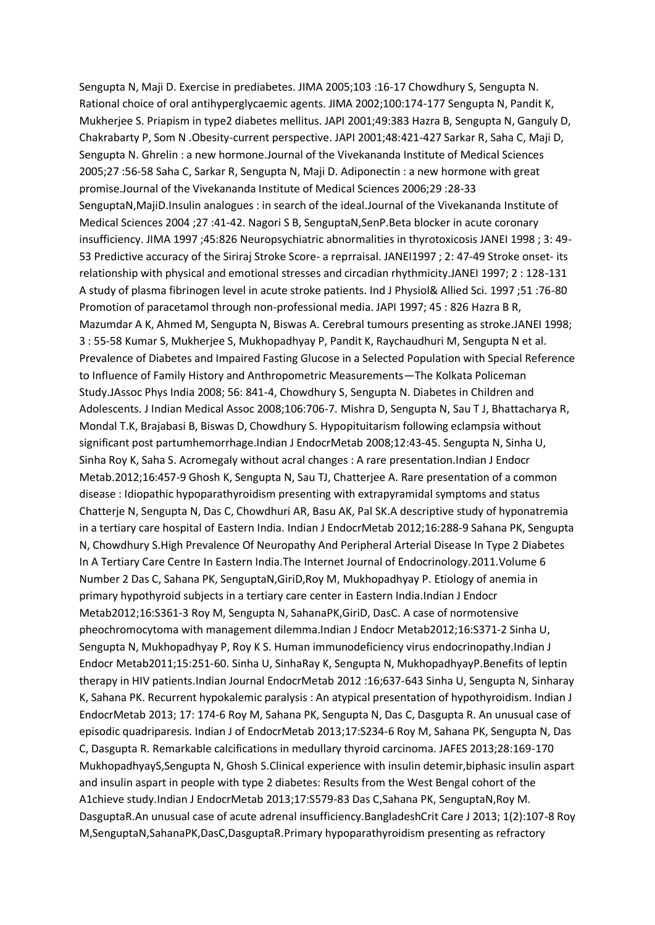Sengupta N, Maji D. Exercise in prediabetes. JIMA 2005;103 :16-17 Chowdhury S, Sengupta N. Rational choice of oral antihyperglycaemic agents. JIMA 2002;100:174-177 Sengupta N, Pandit K, Mukherjee S. Priapism in type2 diabetes mellitus. JAPI 2001;49:383 Hazra B, Sengupta N, Ganguly D, Chakrabarty P, Som N .Obesity-current perspective. JAPI 2001;48:421-427 Sarkar R, Saha C, Maji D, Sengupta N. Ghrelin : a new hormone.Journal of the Vivekananda Institute of Medical Sciences 2005;27 :56-58 Saha C, Sarkar R, Sengupta N, Maji D. Adiponectin : a new hormone with great promise.Journal of the Vivekananda Institute of Medical Sciences 2006;29 :28-33 SenguptaN,MajiD.Insulin analogues : in search of the ideal.Journal of the Vivekananda Institute of Medical Sciences 2004 ;27 :41-42. Nagori S B, SenguptaN,SenP.Beta blocker in acute coronary insufficiency. JIMA 1997 ;45:826 Neuropsychiatric abnormalities in thyrotoxicosis JANEI 1998 ; 3: 49- 53 Predictive accuracy of the Siriraj Stroke Score- a reprraisal. JANEI1997 ; 2: 47-49 Stroke onset- its relationship with physical and emotional stresses and circadian rhythmicity.JANEI 1997; 2 : 128-131 A study of plasma fibrinogen level in acute stroke patients. Ind J Physiol& Allied Sci. 1997 ;51 :76-80 Promotion of paracetamol through non-professional media. JAPI 1997; 45 : 826 Hazra B R, Mazumdar A K, Ahmed M, Sengupta N, Biswas A. Cerebral tumours presenting as stroke.JANEI 1998; 3 : 55-58 Kumar S, Mukherjee S, Mukhopadhyay P, Pandit K, Raychaudhuri M, Sengupta N et al. Prevalence of Diabetes and Impaired Fasting Glucose in a Selected Population with Special Reference to Influence of Family History and Anthropometric Measurements—The Kolkata Policeman Study.JAssoc Phys India 2008; 56: 841-4, Chowdhury S, Sengupta N. Diabetes in Children and Adolescents. J Indian Medical Assoc 2008;106:706-7. Mishra D, Sengupta N, Sau T J, Bhattacharya R, Mondal T.K, Brajabasi B, Biswas D, Chowdhury S. Hypopituitarism following eclampsia without significant post partumhemorrhage.Indian J EndocrMetab 2008;12:43-45. Sengupta N, Sinha U, Sinha Roy K, Saha S. Acromegaly without acral changes : A rare presentation.Indian J Endocr Metab.2012;16:457-9 Ghosh K, Sengupta N, Sau TJ, Chatterjee A. Rare presentation of a common disease : Idiopathic hypoparathyroidism presenting with extrapyramidal symptoms and status Chatterje N, Sengupta N, Das C, Chowdhuri AR, Basu AK, Pal SK.A descriptive study of hyponatremia in a tertiary care hospital of Eastern India. Indian J EndocrMetab 2012;16:288-9 Sahana PK, Sengupta N, Chowdhury S.High Prevalence Of Neuropathy And Peripheral Arterial Disease In Type 2 Diabetes In A Tertiary Care Centre In Eastern India.The Internet Journal of Endocrinology.2011.Volume 6 Number 2 Das C, Sahana PK, SenguptaN,GiriD,Roy M, Mukhopadhyay P. Etiology of anemia in primary hypothyroid subjects in a tertiary care center in Eastern India.Indian J Endocr Metab2012;16:S361-3 Roy M, Sengupta N, SahanaPK,GiriD, DasC. A case of normotensive pheochromocytoma with management dilemma.Indian J Endocr Metab2012;16:S371-2 Sinha U, Sengupta N, Mukhopadhyay P, Roy K S. Human immunodeficiency virus endocrinopathy.Indian J Endocr Metab2011;15:251-60. Sinha U, SinhaRay K, Sengupta N, MukhopadhyayP.Benefits of leptin therapy in HIV patients.Indian Journal EndocrMetab 2012 :16;637-643 Sinha U, Sengupta N, Sinharay K, Sahana PK. Recurrent hypokalemic paralysis : An atypical presentation of hypothyroidism. Indian J EndocrMetab 2013; 17: 174-6 Roy M, Sahana PK, Sengupta N, Das C, Dasgupta R. An unusual case of episodic quadriparesis. Indian J of EndocrMetab 2013;17:S234-6 Roy M, Sahana PK, Sengupta N, Das C, Dasgupta R. Remarkable calcifications in medullary thyroid carcinoma. JAFES 2013;28:169-170 MukhopadhyayS,Sengupta N, Ghosh S.Clinical experience with insulin detemir,biphasic insulin aspart and insulin aspart in people with type 2 diabetes: Results from the West Bengal cohort of the A1chieve study.Indian J EndocrMetab 2013;17:S579-83 Das C,Sahana PK, SenguptaN,Roy M. DasguptaR.An unusual case of acute adrenal insufficiency.BangladeshCrit Care J 2013; 1(2):107-8 Roy M,SenguptaN,SahanaPK,DasC,DasguptaR.Primary hypoparathyroidism presenting as refractory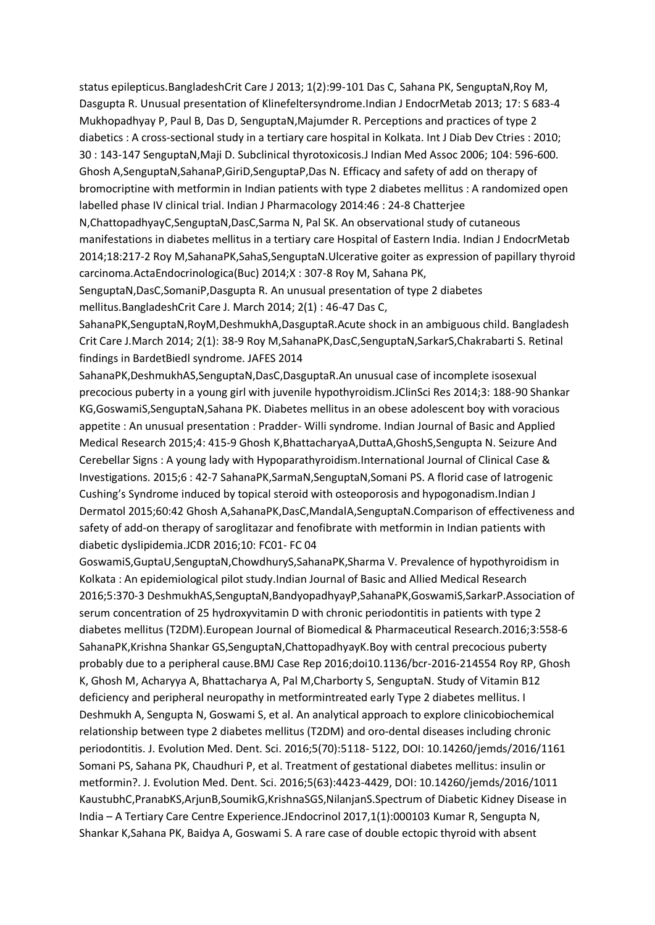status epilepticus.BangladeshCrit Care J 2013; 1(2):99-101 Das C, Sahana PK, SenguptaN,Roy M, Dasgupta R. Unusual presentation of Klinefeltersyndrome.Indian J EndocrMetab 2013; 17: S 683-4 Mukhopadhyay P, Paul B, Das D, SenguptaN,Majumder R. Perceptions and practices of type 2 diabetics : A cross-sectional study in a tertiary care hospital in Kolkata. Int J Diab Dev Ctries : 2010; 30 : 143-147 SenguptaN,Maji D. Subclinical thyrotoxicosis.J Indian Med Assoc 2006; 104: 596-600. Ghosh A,SenguptaN,SahanaP,GiriD,SenguptaP,Das N. Efficacy and safety of add on therapy of bromocriptine with metformin in Indian patients with type 2 diabetes mellitus : A randomized open labelled phase IV clinical trial. Indian J Pharmacology 2014:46 : 24-8 Chatterjee N,ChattopadhyayC,SenguptaN,DasC,Sarma N, Pal SK. An observational study of cutaneous manifestations in diabetes mellitus in a tertiary care Hospital of Eastern India. Indian J EndocrMetab

2014;18:217-2 Roy M,SahanaPK,SahaS,SenguptaN.Ulcerative goiter as expression of papillary thyroid carcinoma.ActaEndocrinologica(Buc) 2014;X : 307-8 Roy M, Sahana PK,

SenguptaN,DasC,SomaniP,Dasgupta R. An unusual presentation of type 2 diabetes mellitus.BangladeshCrit Care J. March 2014; 2(1) : 46-47 Das C,

SahanaPK,SenguptaN,RoyM,DeshmukhA,DasguptaR.Acute shock in an ambiguous child. Bangladesh Crit Care J.March 2014; 2(1): 38-9 Roy M,SahanaPK,DasC,SenguptaN,SarkarS,Chakrabarti S. Retinal findings in BardetBiedl syndrome. JAFES 2014

SahanaPK,DeshmukhAS,SenguptaN,DasC,DasguptaR.An unusual case of incomplete isosexual precocious puberty in a young girl with juvenile hypothyroidism.JClinSci Res 2014;3: 188-90 Shankar KG,GoswamiS,SenguptaN,Sahana PK. Diabetes mellitus in an obese adolescent boy with voracious appetite : An unusual presentation : Pradder- Willi syndrome. Indian Journal of Basic and Applied Medical Research 2015;4: 415-9 Ghosh K,BhattacharyaA,DuttaA,GhoshS,Sengupta N. Seizure And Cerebellar Signs : A young lady with Hypoparathyroidism.International Journal of Clinical Case & Investigations. 2015;6 : 42-7 SahanaPK,SarmaN,SenguptaN,Somani PS. A florid case of Iatrogenic Cushing's Syndrome induced by topical steroid with osteoporosis and hypogonadism.Indian J Dermatol 2015;60:42 Ghosh A,SahanaPK,DasC,MandalA,SenguptaN.Comparison of effectiveness and safety of add-on therapy of saroglitazar and fenofibrate with metformin in Indian patients with diabetic dyslipidemia.JCDR 2016;10: FC01- FC 04

GoswamiS,GuptaU,SenguptaN,ChowdhuryS,SahanaPK,Sharma V. Prevalence of hypothyroidism in Kolkata : An epidemiological pilot study.Indian Journal of Basic and Allied Medical Research 2016;5:370-3 DeshmukhAS,SenguptaN,BandyopadhyayP,SahanaPK,GoswamiS,SarkarP.Association of serum concentration of 25 hydroxyvitamin D with chronic periodontitis in patients with type 2 diabetes mellitus (T2DM).European Journal of Biomedical & Pharmaceutical Research.2016;3:558-6 SahanaPK,Krishna Shankar GS,SenguptaN,ChattopadhyayK.Boy with central precocious puberty probably due to a peripheral cause.BMJ Case Rep 2016;doi10.1136/bcr-2016-214554 Roy RP, Ghosh K, Ghosh M, Acharyya A, Bhattacharya A, Pal M,Charborty S, SenguptaN. Study of Vitamin B12 deficiency and peripheral neuropathy in metformintreated early Type 2 diabetes mellitus. I Deshmukh A, Sengupta N, Goswami S, et al. An analytical approach to explore clinicobiochemical relationship between type 2 diabetes mellitus (T2DM) and oro-dental diseases including chronic periodontitis. J. Evolution Med. Dent. Sci. 2016;5(70):5118- 5122, DOI: 10.14260/jemds/2016/1161 Somani PS, Sahana PK, Chaudhuri P, et al. Treatment of gestational diabetes mellitus: insulin or metformin?. J. Evolution Med. Dent. Sci. 2016;5(63):4423-4429, DOI: 10.14260/jemds/2016/1011 KaustubhC,PranabKS,ArjunB,SoumikG,KrishnaSGS,NilanjanS.Spectrum of Diabetic Kidney Disease in India – A Tertiary Care Centre Experience.JEndocrinol 2017,1(1):000103 Kumar R, Sengupta N, Shankar K,Sahana PK, Baidya A, Goswami S. A rare case of double ectopic thyroid with absent